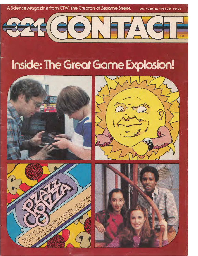

Dec. 1980/Jan. 1981 95¢ 14192



# Inside: The Great Game Explosion!







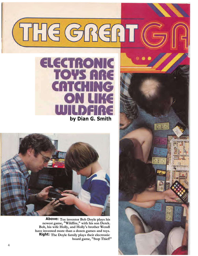

**by Dian G. Smith**



**Above: Toy inventor Bob Doyle plays his newest game, "Wildfire," with his son Derek. Bob, his wife Holly, and Holly's brother Wendl have invented more than a dozen games and toys. Right: The Doyle family plays their electronic board game, "Stop Thief!"**

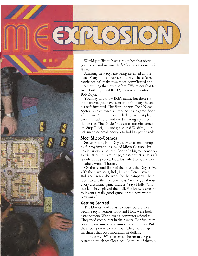Would you like to have a toy robot that obeys your voice and no one else's? Sounds impossible? It's not.

Amazing new toys are being invented all the time. Many of them use computers. These "electronic brains" make toys more complicated and more exciting than ever before. "We're not that far from building a real R2D2," says toy inventor Bob Doyle.

You may not know Bob's name, but there's a good chance you have seen one of the toys he and his wife invented. The first one was Code Name: Sector, an electronic submarine chase game. Soon after came Merlin, a brainy little game that plays back musical notes and can be a tough partner in tic-tac-toe. The Doyles' newest electronic games are Stop Thief, a board game, and Wildfire, a pinball machine small enough to hold in your hands.

## **Meet Micro-Cosmos**

Six years ago, Bob Doyle started a small company for toy inventions, called Micro-Cosmos. Its headquarters is the third floor of a big red house on a quiet street in Cambridge, Massachusetts. Its staff is only three people: Bob, his wife Holly, and her brother, Wendl Thomis.

On the second floor of the house, the Doyles live with their two sons, Rob, 14, and Derek, seven. Rob and Derek also work for the company. Their job is to test their parents' toys. "We've got almost every electronic game there is," says Holly, "and our kids have played them all. We know we've got to invent a really good game, or the boys won't play ours."

## **Getting Started**

The Doyles worked as scientists before they became toy inventors. Bob and Holly were both astronomers. Wendl was a computer scientist. They used computers in their work. For fun, they played games—like chess—with computers. But these computers weren't toys. They were huge machines that cost thousands of dollars.

In the early 1970s, scientists began making computers in much smaller sizes. As more of them s.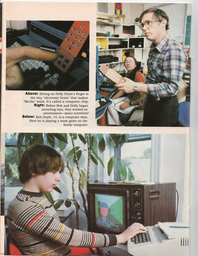

**Above:** Sitting on Holly Doyle's finger is the tiny "electronic brain" that makes "Merlin" work. It's called a computer chip. **Right:** Before Bob and Holly began inventing toys, they worked as astronomers—space scientists! **Below:** Rob Doyle, 14, is a computer whiz. Here he is playing a maze game on the family computer.